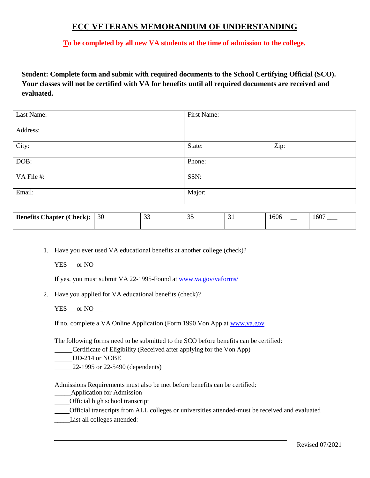## **ECC VETERANS MEMORANDUM OF UNDERSTANDING**

**To be completed by all new VA students at the time of admission to the college.**

**Student: Complete form and submit with required documents to the School Certifying Official (SCO). Your classes will not be certified with VA for benefits until all required documents are received and evaluated.**

| Last Name: | First Name:    |
|------------|----------------|
|            |                |
| Address:   |                |
|            |                |
| City:      | Zip:<br>State: |
| DOB:       | Phone:         |
|            |                |
| VA File #: | SSN:           |
| Email:     | Major:         |

| <b>Benefits Chapter (Check):</b> | 30 | $\sim$<br>، پ | $\sim$ $\sim$<br>$\tilde{\phantom{a}}$ | 1606 | 1607 |
|----------------------------------|----|---------------|----------------------------------------|------|------|
|                                  |    |               |                                        |      |      |

1. Have you ever used VA educational benefits at another college (check)?

 $YES$  or NO  $\_\_$ 

If yes, you must submit VA 22-1995-Found at [www.va.gov/vaforms/](http://www.va.gov/vaforms/)

2. Have you applied for VA educational benefits (check)?

YES \_\_ or NO \_\_

If no, complete a VA Online Application (Form 1990 Von App at [www.va.gov](http://www.va.gov/)

The following forms need to be submitted to the SCO before benefits can be certified:

**Certificate of Eligibility (Received after applying for the Von App)** 

DD-214 or NOBE

22-1995 or 22-5490 (dependents)

Admissions Requirements must also be met before benefits can be certified:

\_\_\_\_\_Application for Admission

Official high school transcript

Official transcripts from ALL colleges or universities attended-must be received and evaluated

List all colleges attended: